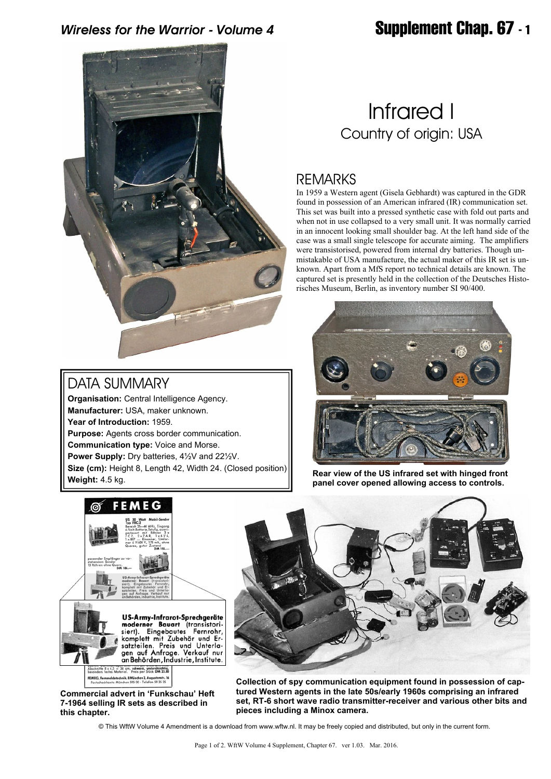## *Wireless for the Warrior - Volume 4* **Supplement Chap. 67 - 1**



## DATA SUMMARY

**Organisation:** Central Intelligence Agency. **Manufacturer:** USA, maker unknown. **Year of Introduction:** 1959. **Purpose:** Agents cross border communication. **Communication type:** Voice and Morse. **Power Supply:** Dry batteries, 4½V and 22½V. **Size (cm):** Height 8, Length 42, Width 24. (Closed position) **Weight:** 4.5 kg.

# Infrared I Country of origin: USA

## REMARKS

In 1959 a Western agent (Gisela Gebhardt) was captured in the GDR found in possession of an American infrared (IR) communication set. This set was built into a pressed synthetic case with fold out parts and when not in use collapsed to a very small unit. It was normally carried in an innocent looking small shoulder bag. At the left hand side of the case was a small single telescope for accurate aiming. The amplifiers were transistorised, powered from internal dry batteries. Though unmistakable of USA manufacture, the actual maker of this IR set is unknown. Apart from a MfS report no technical details are known. The captured set is presently held in the collection of the Deutsches Historisches Museum, Berlin, as inventory number SI 90/400.



**Rear view of the US infrared set with hinged front panel cover opened allowing access to controls.**



**Commercial advert in 'Funkschau' Heft 7-1964 selling IR sets as described in this chapter.**



**Collection of spy communication equipment found in possession of captured Western agents in the late 50s/early 1960s comprising an infrared set, RT-6 short wave radio transmitter-receiver and various other bits and pieces including a Minox camera.**

© This WftW Volume 4 Amendment is a download from www.wftw.nl. It may be freely copied and distributed, but only in the current form.